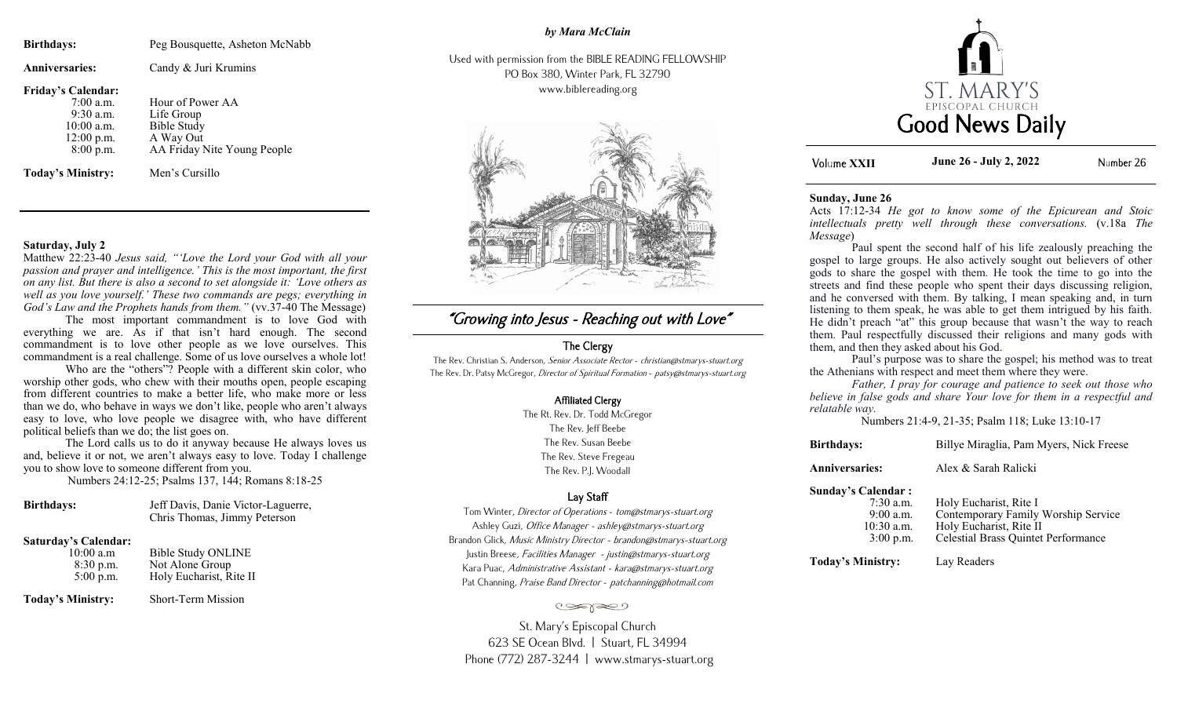| Peg Bousquette, Asheton McNabb                                                                                     |
|--------------------------------------------------------------------------------------------------------------------|
| Candy & Juri Krumins                                                                                               |
| Hour of Power AA<br>Life Group<br><b>Bible Study</b><br>A Way Out<br>AA Friday Nite Young People<br>Men's Cursillo |
|                                                                                                                    |

#### **Saturday, July 2**

Matthew 22:23-40 *Jesus said, "'Love the Lord your God with all your passion and prayer and intelligence.' This is the most important, the first on any list. But there is also a second to set alongside it: 'Love others as well as you love yourself.' These two commands are pegs; everything in God's Law and the Prophets hands from them."* (vv.37-40 The Message)

The most important commandment is to love God with everything we are. As if that isn't hard enough. The second commandment is to love other people as we love ourselves. This commandment is a real challenge. Some of us love ourselves a whole lot!

Who are the "others"? People with a different skin color, who worship other gods, who chew with their mouths open, people escaping from different countries to make a better life, who make more or less than we do, who behave in ways we don't like, people who aren't always easy to love, who love people we disagree with, who have different political beliefs than we do; the list goes on.

The Lord calls us to do it anyway because He always loves us and, believe it or not, we aren't always easy to love. Today I challenge you to show love to someone different from you.

Numbers 24:12-25; Psalms 137, 144; Romans 8:18-25

| <b>Birthdays:</b> | Jeff Davis, Danie Victor-Laguerre, |
|-------------------|------------------------------------|
|                   | Chris Thomas, Jimmy Peterson       |

#### **Saturday's Calendar:**

| 10:00 a.m   | Bible Study ONLINE      |
|-------------|-------------------------|
| 8:30 p.m.   | Not Alone Group         |
| $5:00$ p.m. | Holy Eucharist, Rite II |

**Today's Ministry:** Short-Term Mission

## *by Mara McClain*

Used with permission from the BIBLE READING FELLOWSHIP PO Box 380, Winter Park, FL 32790 www.biblereading.org



# "Growing into Jesus - Reaching out with Love"

## The Clergy

The Rev. Christian S. Anderson, Senior Associate Rector - christian@stmarys-stuart.org The Rev. Dr. Patsy McGregor, Director of Spiritual Formation - patsy@stmarys-stuart.org

#### Affiliated Clergy

The Rt. Rev. Dr. Todd McGregor The Rev. Jeff Beebe The Rev. Susan Beebe The Rev. Steve Fregeau The Rev. P.J. Woodall

## Lay Staff

Tom Winter, Director of Operations - tom@stmarys-stuart.org Ashley Guzi, Office Manager - ashley@stmarys-stuart.org Brandon Glick, Music Ministry Director - brandon@stmarys-stuart.org Justin Breese, Facilities Manager - justin@stmarys-stuart.org Kara Puac, Administrative Assistant - kara@stmarys-stuart.org Pat Channing, Praise Band Director - patchanning@hotmail.com

#### تعجون

St. Mary's Episcopal Church 623 SE Ocean Blvd. | Stuart, FL 34994 Phone (772) 287-3244 | www.stmarys-stuart.org



**XXII June 26 - July 2, 2022**Number 26

#### **Sunday, June 26**

Acts 17:12-34 *He got to know some of the Epicurean and Stoic intellectuals pretty well through these conversations.* (v.18a *The Message*)

Paul spent the second half of his life zealously preaching the gospel to large groups. He also actively sought out believers of other gods to share the gospel with them. He took the time to go into the streets and find these people who spent their days discussing religion, and he conversed with them. By talking, I mean speaking and, in turn listening to them speak, he was able to get them intrigued by his faith. He didn't preach "at" this group because that wasn't the way to reach them. Paul respectfully discussed their religions and many gods with them, and then they asked about his God.

Paul's purpose was to share the gospel; his method was to treat the Athenians with respect and meet them where they were.

*Father, I pray for courage and patience to seek out those who believe in false gods and share Your love for them in a respectful and relatable way.*

Numbers 21:4-9, 21-35; Psalm 118; Luke 13:10-17

| <b>Birthdays:</b>            | Billye Miraglia, Pam Myers, Nick Freese                       |
|------------------------------|---------------------------------------------------------------|
| <b>Anniversaries:</b>        | Alex & Sarah Ralicki                                          |
| Sunday's Calendar :          |                                                               |
| $7:30$ a.m.<br>$0.00 \sim m$ | Holy Eucharist, Rite I<br>Contemporary Femily Worskin Service |

| $9:00$ a.m.  | Contemporary Family Worship Service |
|--------------|-------------------------------------|
| $10:30$ a.m. | Holy Eucharist, Rite II             |
| $3:00$ p.m.  | Celestial Brass Quintet Performance |

**Today's Ministry:** Lay Readers